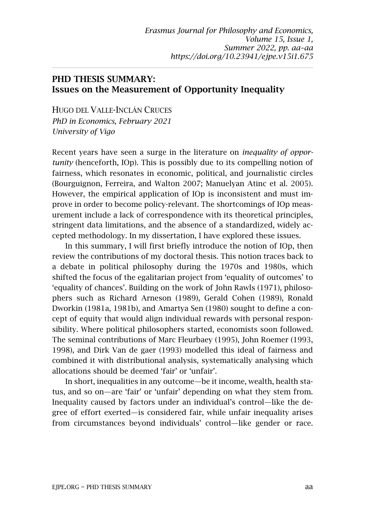## PHD THESIS SUMMARY: Issues on the Measurement of Opportunity Inequality

HUGO DEL VALLE-INCLÁN CRUCES *PhD in Economics, February 2021 University of Vigo*

Recent years have seen a surge in the literature on *inequality of opportunity* (henceforth, IOp). This is possibly due to its compelling notion of fairness, which resonates in economic, political, and journalistic circles (Bourguignon, Ferreira, and Walton 2007; Manuelyan Atinc et al. 2005). However, the empirical application of IOp is inconsistent and must improve in order to become policy-relevant. The shortcomings of IOp measurement include a lack of correspondence with its theoretical principles, stringent data limitations, and the absence of a standardized, widely accepted methodology. In my dissertation, I have explored these issues.

In this summary, I will first briefly introduce the notion of IOp, then review the contributions of my doctoral thesis. This notion traces back to a debate in political philosophy during the 1970s and 1980s, which shifted the focus of the egalitarian project from 'equality of outcomes' to 'equality of chances'. Building on the work of John Rawls (1971), philosophers such as Richard Arneson (1989), Gerald Cohen (1989), Ronald Dworkin (1981a, 1981b), and Amartya Sen (1980) sought to define a concept of equity that would align individual rewards with personal responsibility. Where political philosophers started, economists soon followed. The seminal contributions of Marc Fleurbaey (1995), John Roemer (1993, 1998), and Dirk Van de gaer (1993) modelled this ideal of fairness and combined it with distributional analysis, systematically analysing which allocations should be deemed 'fair' or 'unfair'.

In short, inequalities in any outcome—be it income, wealth, health status, and so on—are 'fair' or 'unfair' depending on what they stem from. Inequality caused by factors under an individual's control—like the degree of effort exerted—is considered fair, while unfair inequality arises from circumstances beyond individuals' control—like gender or race.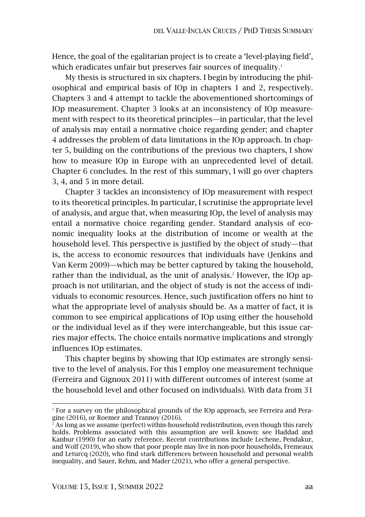Hence, the goal of the egalitarian project is to create a 'level-playing field', which eradicates unfair but preserves fair sources of inequality.<sup>1</sup>

My thesis is structured in six chapters. I begin by introducing the philosophical and empirical basis of IOp in chapters 1 and 2, respectively. Chapters 3 and 4 attempt to tackle the abovementioned shortcomings of IOp measurement. Chapter 3 looks at an inconsistency of IOp measurement with respect to its theoretical principles—in particular, that the level of analysis may entail a normative choice regarding gender; and chapter 4 addresses the problem of data limitations in the IOp approach. In chapter 5, building on the contributions of the previous two chapters, I show how to measure IOp in Europe with an unprecedented level of detail. Chapter 6 concludes. In the rest of this summary, I will go over chapters 3, 4, and 5 in more detail.

Chapter 3 tackles an inconsistency of IOp measurement with respect to its theoretical principles. In particular, I scrutinise the appropriate level of analysis, and argue that, when measuring IOp, the level of analysis may entail a normative choice regarding gender. Standard analysis of economic inequality looks at the distribution of income or wealth at the household level. This perspective is justified by the object of study—that is, the access to economic resources that individuals have (Jenkins and Van Kerm 2009)—which may be better captured by taking the household, rather than the individual, as the unit of analysis.<sup>2</sup> However, the IOp approach is not utilitarian, and the object of study is not the access of individuals to economic resources. Hence, such justification offers no hint to what the appropriate level of analysis should be. As a matter of fact, it is common to see empirical applications of IOp using either the household or the individual level as if they were interchangeable, but this issue carries major effects. The choice entails normative implications and strongly influences IOp estimates.

This chapter begins by showing that IOp estimates are strongly sensitive to the level of analysis. For this I employ one measurement technique (Ferreira and Gignoux 2011) with different outcomes of interest (some at the household level and other focused on individuals). With data from 31

 $1$  For a survey on the philosophical grounds of the IOp approach, see Ferreira and Peragine (2016), or Roemer and Trannoy (2016).

 $^2$  As long as we assume (perfect) within-household redistribution, even though this rarely holds. Problems associated with this assumption are well known: see Haddad and Kanbur (1990) for an early reference. Recent contributions include Lechene, Pendakur, and Wolf (2019), who show that poor people may live in non-poor households, Fremeaux and Leturcq (2020), who find stark differences between household and personal wealth inequality, and Sauer, Rehm, and Mader (2021), who offer a general perspective.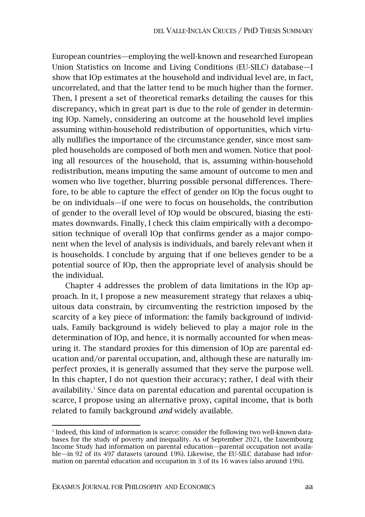European countries—employing the well-known and researched European Union Statistics on Income and Living Conditions (EU-SILC) database—I show that IOp estimates at the household and individual level are, in fact, uncorrelated, and that the latter tend to be much higher than the former. Then, I present a set of theoretical remarks detailing the causes for this discrepancy, which in great part is due to the role of gender in determining IOp. Namely, considering an outcome at the household level implies assuming within-household redistribution of opportunities, which virtually nullifies the importance of the circumstance gender, since most sampled households are composed of both men and women. Notice that pooling all resources of the household, that is, assuming within-household redistribution, means imputing the same amount of outcome to men and women who live together, blurring possible personal differences. Therefore, to be able to capture the effect of gender on IOp the focus ought to be on individuals—if one were to focus on households, the contribution of gender to the overall level of IOp would be obscured, biasing the estimates downwards. Finally, I check this claim empirically with a decomposition technique of overall IOp that confirms gender as a major component when the level of analysis is individuals, and barely relevant when it is households. I conclude by arguing that if one believes gender to be a potential source of IOp, then the appropriate level of analysis should be the individual.

Chapter 4 addresses the problem of data limitations in the IOp approach. In it, I propose a new measurement strategy that relaxes a ubiquitous data constrain, by circumventing the restriction imposed by the scarcity of a key piece of information: the family background of individuals. Family background is widely believed to play a major role in the determination of IOp, and hence, it is normally accounted for when measuring it. The standard proxies for this dimension of IOp are parental education and/or parental occupation, and, although these are naturally imperfect proxies, it is generally assumed that they serve the purpose well. In this chapter, I do not question their accuracy; rather, I deal with their availability.<sup>3</sup> Since data on parental education and parental occupation is scarce, I propose using an alternative proxy, capital income, that is both related to family background *and* widely available.

<sup>&</sup>lt;sup>3</sup> Indeed, this kind of information is scarce: consider the following two well-known databases for the study of poverty and inequality. As of September 2021, the Luxembourg Income Study had information on parental education—parental occupation not available—in 92 of its 497 datasets (around 19%). Likewise, the EU-SILC database had information on parental education and occupation in 3 of its 16 waves (also around 19%).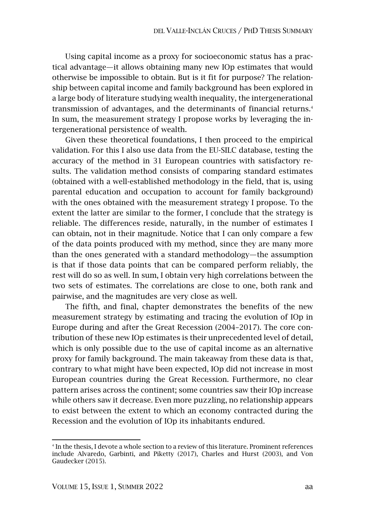Using capital income as a proxy for socioeconomic status has a practical advantage—it allows obtaining many new IOp estimates that would otherwise be impossible to obtain. But is it fit for purpose? The relationship between capital income and family background has been explored in a large body of literature studying wealth inequality, the intergenerational transmission of advantages, and the determinants of financial returns.<sup>4</sup> In sum, the measurement strategy I propose works by leveraging the intergenerational persistence of wealth.

Given these theoretical foundations, I then proceed to the empirical validation. For this I also use data from the EU-SILC database, testing the accuracy of the method in 31 European countries with satisfactory results. The validation method consists of comparing standard estimates (obtained with a well-established methodology in the field, that is, using parental education and occupation to account for family background) with the ones obtained with the measurement strategy I propose. To the extent the latter are similar to the former, I conclude that the strategy is reliable. The differences reside, naturally, in the number of estimates I can obtain, not in their magnitude. Notice that I can only compare a few of the data points produced with my method, since they are many more than the ones generated with a standard methodology—the assumption is that if those data points that can be compared perform reliably, the rest will do so as well. In sum, I obtain very high correlations between the two sets of estimates. The correlations are close to one, both rank and pairwise, and the magnitudes are very close as well.

The fifth, and final, chapter demonstrates the benefits of the new measurement strategy by estimating and tracing the evolution of IOp in Europe during and after the Great Recession (2004–2017). The core contribution of these new IOp estimates is their unprecedented level of detail, which is only possible due to the use of capital income as an alternative proxy for family background. The main takeaway from these data is that, contrary to what might have been expected, IOp did not increase in most European countries during the Great Recession. Furthermore, no clear pattern arises across the continent; some countries saw their IOp increase while others saw it decrease. Even more puzzling, no relationship appears to exist between the extent to which an economy contracted during the Recession and the evolution of IOp its inhabitants endured.

<sup>&</sup>lt;sup>4</sup> In the thesis, I devote a whole section to a review of this literature. Prominent references include Alvaredo, Garbinti, and Piketty (2017), Charles and Hurst (2003), and Von Gaudecker (2015).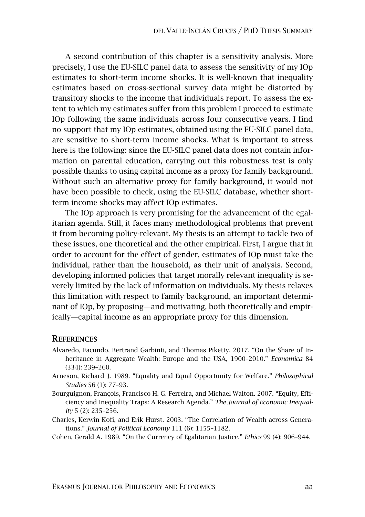A second contribution of this chapter is a sensitivity analysis. More precisely, I use the EU-SILC panel data to assess the sensitivity of my IOp estimates to short-term income shocks. It is well-known that inequality estimates based on cross-sectional survey data might be distorted by transitory shocks to the income that individuals report. To assess the extent to which my estimates suffer from this problem I proceed to estimate IOp following the same individuals across four consecutive years. I find no support that my IOp estimates, obtained using the EU-SILC panel data, are sensitive to short-term income shocks. What is important to stress here is the following: since the EU-SILC panel data does not contain information on parental education, carrying out this robustness test is only possible thanks to using capital income as a proxy for family background. Without such an alternative proxy for family background, it would not have been possible to check, using the EU-SILC database, whether shortterm income shocks may affect IOp estimates.

The IOp approach is very promising for the advancement of the egalitarian agenda. Still, it faces many methodological problems that prevent it from becoming policy-relevant. My thesis is an attempt to tackle two of these issues, one theoretical and the other empirical. First, I argue that in order to account for the effect of gender, estimates of IOp must take the individual, rather than the household, as their unit of analysis. Second, developing informed policies that target morally relevant inequality is severely limited by the lack of information on individuals. My thesis relaxes this limitation with respect to family background, an important determinant of IOp, by proposing—and motivating, both theoretically and empirically—capital income as an appropriate proxy for this dimension.

## **REFERENCES**

- Alvaredo, Facundo, Bertrand Garbinti, and Thomas Piketty. 2017. "On the Share of Inheritance in Aggregate Wealth: Europe and the USA, 1900–2010." *Economica* 84 (334): 239–260.
- Arneson, Richard J. 1989. "Equality and Equal Opportunity for Welfare." *Philosophical Studies* 56 (1): 77–93.
- Bourguignon, François, Francisco H. G. Ferreira, and Michael Walton. 2007. "Equity, Efficiency and Inequality Traps: A Research Agenda." *The Journal of Economic Inequality* 5 (2): 235–256.
- Charles, Kerwin Kofi, and Erik Hurst. 2003. "The Correlation of Wealth across Generations." *Journal of Political Economy* 111 (6): 1155–1182.

Cohen, Gerald A. 1989. "On the Currency of Egalitarian Justice." *Ethics* 99 (4): 906–944.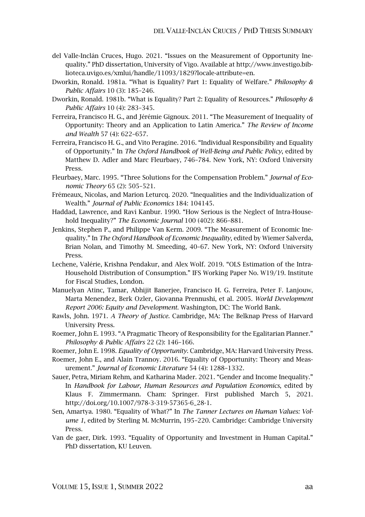- del Valle-Inclán Cruces, Hugo. 2021. "Issues on the Measurement of Opportunity Inequality." PhD dissertation, University of Vigo. Available at http://www.investigo.biblioteca.uvigo.es/xmlui/handle/11093/1829?locale-attribute=en.
- Dworkin, Ronald. 1981a. "What is Equality? Part 1: Equality of Welfare." *Philosophy & Public Affairs* 10 (3): 185–246.
- Dworkin, Ronald. 1981b. "What is Equality? Part 2: Equality of Resources." *Philosophy & Public Affairs* 10 (4): 283–345.
- Ferreira, Francisco H. G., and Jérémie Gignoux. 2011. "The Measurement of Inequality of Opportunity: Theory and an Application to Latin America." *The Review of Income and Wealth* 57 (4): 622–657.
- Ferreira, Francisco H. G., and Vito Peragine. 2016. "Individual Responsibility and Equality of Opportunity." In *The Oxford Handbook of Well-Being and Public Policy*, edited by Matthew D. Adler and Marc Fleurbaey, 746–784. New York, NY: Oxford University Press.
- Fleurbaey, Marc. 1995. "Three Solutions for the Compensation Problem." *Journal of Economic Theory* 65 (2): 505–521.
- Frémeaux, Nicolas, and Marion Leturcq. 2020. "Inequalities and the Individualization of Wealth." *Journal of Public Economics* 184: 104145.
- Haddad, Lawrence, and Ravi Kanbur. 1990. "How Serious is the Neglect of Intra-Household Inequality?" *The Economic Journal* 100 (402): 866–881.
- Jenkins, Stephen P., and Philippe Van Kerm. 2009. "The Measurement of Economic Inequality." In *The Oxford Handbook of Economic Inequality*, edited by Wiemer Salverda, Brian Nolan, and Timothy M. Smeeding, 40–67. New York, NY: Oxford University Press.
- Lechene, Valérie, Krishna Pendakur, and Alex Wolf. 2019. "OLS Estimation of the Intra-Household Distribution of Consumption." IFS Working Paper No. W19/19. Institute for Fiscal Studies, London.
- Manuelyan Atinc, Tamar, Abhijit Banerjee, Francisco H. G. Ferreira, Peter F. Lanjouw, Marta Menendez, Berk Ozler, Giovanna Prennushi, et al. 2005. *World Development Report 2006: Equity and Development*. Washington, DC: The World Bank.
- Rawls, John. 1971. *A Theory of Justice*. Cambridge, MA: The Belknap Press of Harvard University Press.
- Roemer, John E. 1993. "A Pragmatic Theory of Responsibility for the Egalitarian Planner." *Philosophy & Public Affairs* 22 (2): 146–166.
- Roemer, John E. 1998. *Equality of Opportunity*. Cambridge, MA: Harvard University Press.
- Roemer, John E., and Alain Trannoy. 2016. "Equality of Opportunity: Theory and Measurement." *Journal of Economic Literature* 54 (4): 1288–1332.
- Sauer, Petra, Miriam Rehm, and Katharina Mader. 2021. "Gender and Income Inequality." In *Handbook for Labour, Human Resources and Population Economics*, edited by Klaus F. Zimmermann. Cham: Springer. First published March 5, 2021. http://doi.org/10.1007/978-3-319-57365-6\_28-1.
- Sen, Amartya. 1980. "Equality of What?" In *The Tanner Lectures on Human Values: Volume 1*, edited by Sterling M. McMurrin, 195–220. Cambridge: Cambridge University Press.
- Van de gaer, Dirk. 1993. "Equality of Opportunity and Investment in Human Capital." PhD dissertation, KU Leuven.